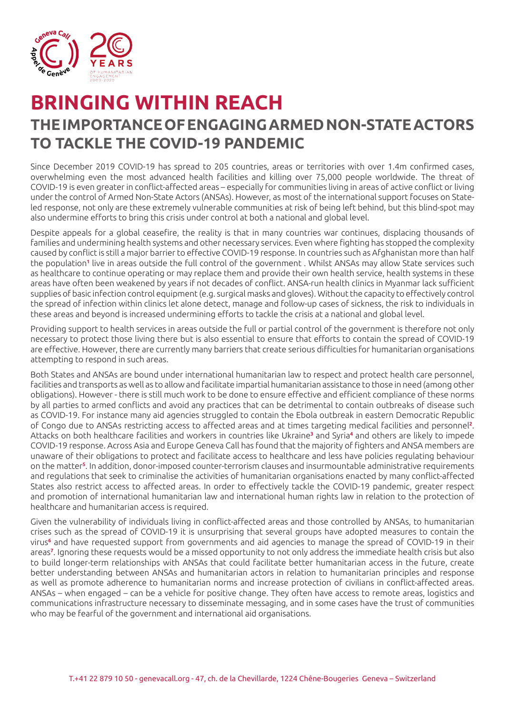

## **BRINGING WITHIN REACH THE IMPORTANCE OF ENGAGING ARMED NON-STATE ACTORS TO TACKLE THE COVID-19 PANDEMIC**

Since December 2019 COVID-19 has spread to 205 countries, areas or territories with over 1.4m confirmed cases, overwhelming even the most advanced health facilities and killing over 75,000 people worldwide. The threat of COVID-19 is even greater in conflict-affected areas – especially for communities living in areas of active conflict or living under the control of Armed Non-State Actors (ANSAs). However, as most of the international support focuses on Stateled response, not only are these extremely vulnerable communities at risk of being left behind, but this blind-spot may also undermine efforts to bring this crisis under control at both a national and global level.

Despite appeals for a global ceasefire, the reality is that in many countries war continues, displacing thousands of families and undermining health systems and other necessary services. Even where fighting has stopped the complexity caused by conflict is still a major barrier to effective COVID-19 response. In countries such as Afghanistan more than half the population<sup>1</sup> live in areas outside the full control of the government . Whilst ANSAs may allow State services such as healthcare to continue operating or may replace them and provide their own health service, health systems in these areas have often been weakened by years if not decades of conflict. ANSA-run health clinics in Myanmar lack sufficient supplies of basic infection control equipment (e.g. surgical masks and gloves). Without the capacity to effectively control the spread of infection within clinics let alone detect, manage and follow-up cases of sickness, the risk to individuals in these areas and beyond is increased undermining efforts to tackle the crisis at a national and global level.

Providing support to health services in areas outside the full or partial control of the government is therefore not only necessary to protect those living there but is also essential to ensure that efforts to contain the spread of COVID-19 are effective. However, there are currently many barriers that create serious difficulties for humanitarian organisations attempting to respond in such areas.

Both States and ANSAs are bound under international humanitarian law to respect and protect health care personnel, facilities and transports as well as to allow and facilitate impartial humanitarian assistance to those in need (among other obligations). However - there is still much work to be done to ensure effective and efficient compliance of these norms by all parties to armed conflicts and avoid any practices that can be detrimental to contain outbreaks of disease such as COVID-19. For instance many aid agencies struggled to contain the Ebola outbreak in eastern Democratic Republic of Congo due to ANSAs restricting access to affected areas and at times targeting medical facilities and personnel**<sup>2</sup>** . Attacks on both healthcare facilities and workers in countries like Ukraine**<sup>3</sup>** and Syria**<sup>4</sup>** and others are likely to impede COVID-19 response. Across Asia and Europe Geneva Call has found that the majority of fighters and ANSA members are unaware of their obligations to protect and facilitate access to healthcare and less have policies regulating behaviour on the matter**<sup>5</sup>** . In addition, donor-imposed counter-terrorism clauses and insurmountable administrative requirements and regulations that seek to criminalise the activities of humanitarian organisations enacted by many conflict-affected States also restrict access to affected areas. In order to effectively tackle the COVID-19 pandemic, greater respect and promotion of international humanitarian law and international human rights law in relation to the protection of healthcare and humanitarian access is required.

Given the vulnerability of individuals living in conflict-affected areas and those controlled by ANSAs, to humanitarian crises such as the spread of COVID-19 it is unsurprising that several groups have adopted measures to contain the virus**<sup>6</sup>** and have requested support from governments and aid agencies to manage the spread of COVID-19 in their areas**<sup>7</sup>** . Ignoring these requests would be a missed opportunity to not only address the immediate health crisis but also to build longer-term relationships with ANSAs that could facilitate better humanitarian access in the future, create better understanding between ANSAs and humanitarian actors in relation to humanitarian principles and response as well as promote adherence to humanitarian norms and increase protection of civilians in conflict-affected areas. ANSAs – when engaged – can be a vehicle for positive change. They often have access to remote areas, logistics and communications infrastructure necessary to disseminate messaging, and in some cases have the trust of communities who may be fearful of the government and international aid organisations.